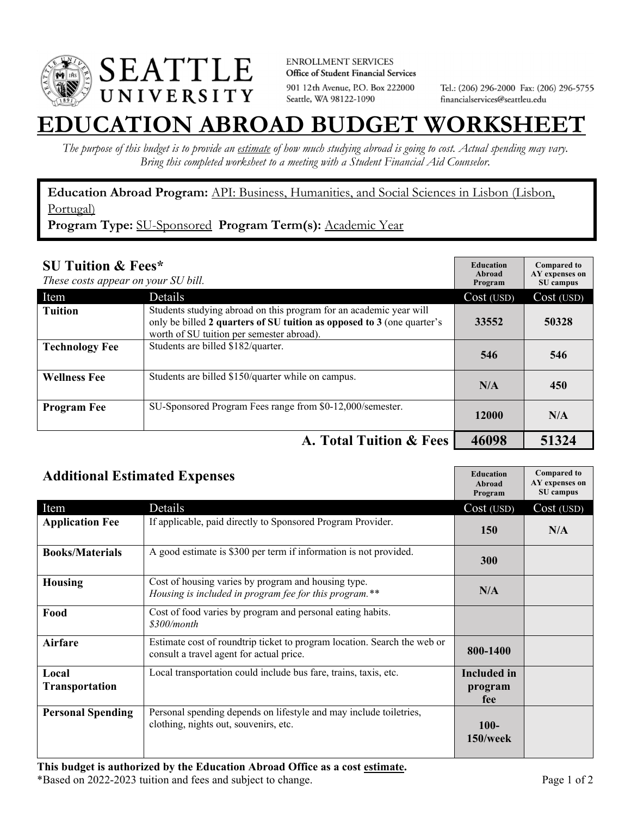

**ENROLLMENT SERVICES** Office of Student Financial Services 901 12th Avenue, P.O. Box 222000 Seattle, WA 98122-1090

Tel.: (206) 296-2000 Fax: (206) 296-5755 financialservices@seattleu.edu

## **EATION ABROAD BUDGET WORKSHEI**

*The purpose of this budget is to provide an estimate of how much studying abroad is going to cost. Actual spending may vary. Bring this completed worksheet to a meeting with a Student Financial Aid Counselor.* 

**Education Abroad Program:** API: Business, Humanities, and Social Sciences in Lisbon (Lisbon, Portugal)

**Program Type:** SU-Sponsored **Program Term(s):** Academic Year

| <b>SU Tuition &amp; Fees*</b><br>These costs appear on your SU bill. |                                                                                                                                                                                           | <b>Education</b><br>Abroad<br>Program | <b>Compared to</b><br>AY expenses on<br>SU campus |
|----------------------------------------------------------------------|-------------------------------------------------------------------------------------------------------------------------------------------------------------------------------------------|---------------------------------------|---------------------------------------------------|
| Item                                                                 | Details                                                                                                                                                                                   | Cost (USD)                            | Cost (USD)                                        |
| <b>Tuition</b>                                                       | Students studying abroad on this program for an academic year will<br>only be billed 2 quarters of SU tuition as opposed to 3 (one quarter's<br>worth of SU tuition per semester abroad). | 33552                                 | 50328                                             |
| <b>Technology Fee</b>                                                | Students are billed \$182/quarter.                                                                                                                                                        | 546                                   | 546                                               |
| <b>Wellness Fee</b>                                                  | Students are billed \$150/quarter while on campus.                                                                                                                                        | N/A                                   | 450                                               |
| <b>Program Fee</b>                                                   | SU-Sponsored Program Fees range from \$0-12,000/semester.                                                                                                                                 | 12000                                 | N/A                                               |
|                                                                      | A. Total Tuition & Fees                                                                                                                                                                   | 46098                                 | 51324                                             |

| <b>Additional Estimated Expenses</b> |                                                                                                                      | <b>Education</b><br>Abroad<br>Program | <b>Compared to</b><br>AY expenses on<br>SU campus |
|--------------------------------------|----------------------------------------------------------------------------------------------------------------------|---------------------------------------|---------------------------------------------------|
| Item                                 | Details                                                                                                              | Cost (USD)                            | Cost (USD)                                        |
| <b>Application Fee</b>               | If applicable, paid directly to Sponsored Program Provider.                                                          | 150                                   | N/A                                               |
| <b>Books/Materials</b>               | A good estimate is \$300 per term if information is not provided.                                                    | 300                                   |                                                   |
| <b>Housing</b>                       | Cost of housing varies by program and housing type.<br>Housing is included in program fee for this program.**        | N/A                                   |                                                   |
| Food                                 | Cost of food varies by program and personal eating habits.<br>\$300/month                                            |                                       |                                                   |
| <b>Airfare</b>                       | Estimate cost of roundtrip ticket to program location. Search the web or<br>consult a travel agent for actual price. | 800-1400                              |                                                   |
| Local                                | Local transportation could include bus fare, trains, taxis, etc.                                                     | Included in                           |                                                   |
| <b>Transportation</b>                |                                                                                                                      | program                               |                                                   |
|                                      |                                                                                                                      | fee                                   |                                                   |
| <b>Personal Spending</b>             | Personal spending depends on lifestyle and may include toiletries,<br>clothing, nights out, souvenirs, etc.          | $100-$<br>$150$ /week                 |                                                   |